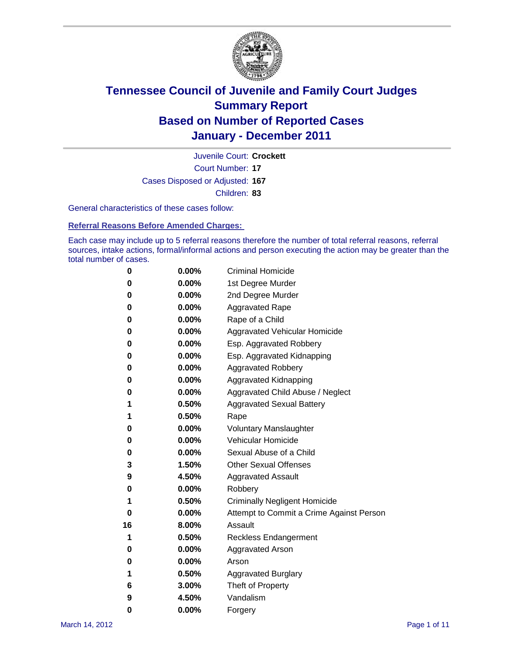

Court Number: **17** Juvenile Court: **Crockett** Cases Disposed or Adjusted: **167** Children: **83**

General characteristics of these cases follow:

**Referral Reasons Before Amended Charges:** 

Each case may include up to 5 referral reasons therefore the number of total referral reasons, referral sources, intake actions, formal/informal actions and person executing the action may be greater than the total number of cases.

| 0  | 0.00%    | <b>Criminal Homicide</b>                 |
|----|----------|------------------------------------------|
| 0  | 0.00%    | 1st Degree Murder                        |
| 0  | 0.00%    | 2nd Degree Murder                        |
| 0  | 0.00%    | <b>Aggravated Rape</b>                   |
| 0  | 0.00%    | Rape of a Child                          |
| 0  | 0.00%    | Aggravated Vehicular Homicide            |
| 0  | 0.00%    | Esp. Aggravated Robbery                  |
| 0  | 0.00%    | Esp. Aggravated Kidnapping               |
| 0  | 0.00%    | <b>Aggravated Robbery</b>                |
| 0  | 0.00%    | Aggravated Kidnapping                    |
| 0  | 0.00%    | Aggravated Child Abuse / Neglect         |
| 1  | 0.50%    | <b>Aggravated Sexual Battery</b>         |
| 1  | 0.50%    | Rape                                     |
| 0  | $0.00\%$ | <b>Voluntary Manslaughter</b>            |
| 0  | 0.00%    | Vehicular Homicide                       |
| 0  | 0.00%    | Sexual Abuse of a Child                  |
| 3  | 1.50%    | <b>Other Sexual Offenses</b>             |
| 9  | 4.50%    | <b>Aggravated Assault</b>                |
| 0  | $0.00\%$ | Robbery                                  |
| 1  | 0.50%    | <b>Criminally Negligent Homicide</b>     |
| 0  | 0.00%    | Attempt to Commit a Crime Against Person |
| 16 | 8.00%    | Assault                                  |
| 1  | 0.50%    | <b>Reckless Endangerment</b>             |
| 0  | 0.00%    | <b>Aggravated Arson</b>                  |
| 0  | 0.00%    | Arson                                    |
| 1  | 0.50%    | <b>Aggravated Burglary</b>               |
| 6  | 3.00%    | Theft of Property                        |
| 9  | 4.50%    | Vandalism                                |
| 0  | 0.00%    | Forgery                                  |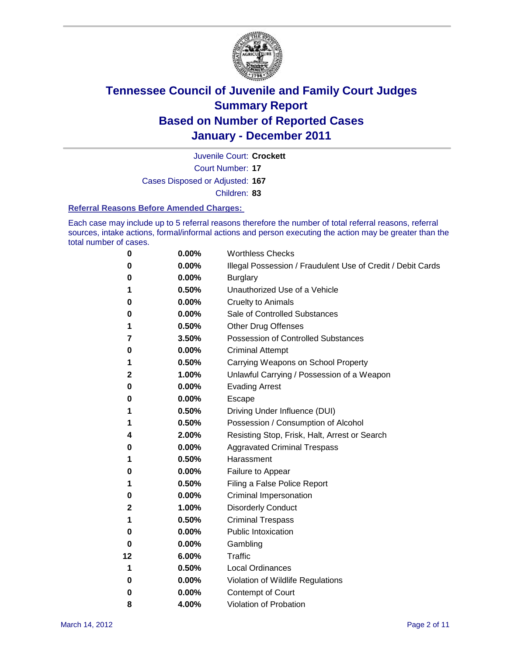

Court Number: **17** Juvenile Court: **Crockett** Cases Disposed or Adjusted: **167**

Children: **83**

#### **Referral Reasons Before Amended Charges:**

Each case may include up to 5 referral reasons therefore the number of total referral reasons, referral sources, intake actions, formal/informal actions and person executing the action may be greater than the total number of cases.

| 0  | 0.00% | <b>Worthless Checks</b>                                     |
|----|-------|-------------------------------------------------------------|
| 0  | 0.00% | Illegal Possession / Fraudulent Use of Credit / Debit Cards |
| 0  | 0.00% | <b>Burglary</b>                                             |
| 1  | 0.50% | Unauthorized Use of a Vehicle                               |
| 0  | 0.00% | <b>Cruelty to Animals</b>                                   |
| 0  | 0.00% | Sale of Controlled Substances                               |
| 1  | 0.50% | <b>Other Drug Offenses</b>                                  |
| 7  | 3.50% | <b>Possession of Controlled Substances</b>                  |
| 0  | 0.00% | <b>Criminal Attempt</b>                                     |
| 1  | 0.50% | Carrying Weapons on School Property                         |
| 2  | 1.00% | Unlawful Carrying / Possession of a Weapon                  |
| 0  | 0.00% | <b>Evading Arrest</b>                                       |
| 0  | 0.00% | Escape                                                      |
| 1  | 0.50% | Driving Under Influence (DUI)                               |
| 1  | 0.50% | Possession / Consumption of Alcohol                         |
| 4  | 2.00% | Resisting Stop, Frisk, Halt, Arrest or Search               |
| 0  | 0.00% | <b>Aggravated Criminal Trespass</b>                         |
| 1  | 0.50% | Harassment                                                  |
| 0  | 0.00% | Failure to Appear                                           |
| 1  | 0.50% | Filing a False Police Report                                |
| 0  | 0.00% | Criminal Impersonation                                      |
| 2  | 1.00% | <b>Disorderly Conduct</b>                                   |
| 1  | 0.50% | <b>Criminal Trespass</b>                                    |
| 0  | 0.00% | <b>Public Intoxication</b>                                  |
| 0  | 0.00% | Gambling                                                    |
| 12 | 6.00% | <b>Traffic</b>                                              |
| 1  | 0.50% | <b>Local Ordinances</b>                                     |
| 0  | 0.00% | Violation of Wildlife Regulations                           |
| 0  | 0.00% | Contempt of Court                                           |
| 8  | 4.00% | Violation of Probation                                      |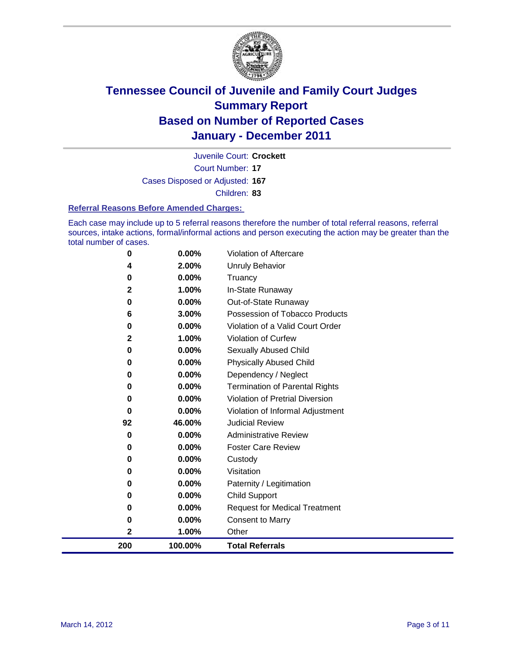

Court Number: **17** Juvenile Court: **Crockett** Cases Disposed or Adjusted: **167** Children: **83**

#### **Referral Reasons Before Amended Charges:**

Each case may include up to 5 referral reasons therefore the number of total referral reasons, referral sources, intake actions, formal/informal actions and person executing the action may be greater than the total number of cases.

| 200          | 100.00%                                              | <b>Total Referrals</b>                                                                 |
|--------------|------------------------------------------------------|----------------------------------------------------------------------------------------|
| $\mathbf{2}$ | 1.00%                                                | Other                                                                                  |
| 0            | 0.00%                                                | <b>Consent to Marry</b>                                                                |
| 0            | 0.00%                                                | <b>Request for Medical Treatment</b>                                                   |
| 0            | 0.00%                                                | <b>Child Support</b>                                                                   |
| 0            | 0.00%                                                | Paternity / Legitimation                                                               |
| 0            | 0.00%                                                | Visitation                                                                             |
| 0            | 0.00%                                                | Custody                                                                                |
| 0            | 0.00%                                                | <b>Foster Care Review</b>                                                              |
| 0            | 0.00%                                                | <b>Administrative Review</b>                                                           |
| 92           | 46.00%                                               | <b>Judicial Review</b>                                                                 |
| $\bf{0}$     | 0.00%                                                | Violation of Informal Adjustment                                                       |
| 0            | 0.00%                                                | <b>Violation of Pretrial Diversion</b>                                                 |
| 0            | 0.00%                                                | <b>Termination of Parental Rights</b>                                                  |
| 0            |                                                      | Dependency / Neglect                                                                   |
|              |                                                      | <b>Physically Abused Child</b>                                                         |
|              |                                                      | Sexually Abused Child                                                                  |
|              |                                                      | <b>Violation of Curfew</b>                                                             |
|              |                                                      | Violation of a Valid Court Order                                                       |
|              |                                                      | Possession of Tobacco Products                                                         |
|              |                                                      | Out-of-State Runaway                                                                   |
|              |                                                      | Truancy<br>In-State Runaway                                                            |
|              |                                                      | <b>Unruly Behavior</b>                                                                 |
| 0            | 0.00%                                                | <b>Violation of Aftercare</b>                                                          |
|              | 4<br>0<br>2<br>0<br>6<br>0<br>$\mathbf{2}$<br>0<br>0 | 2.00%<br>0.00%<br>1.00%<br>0.00%<br>3.00%<br>0.00%<br>1.00%<br>0.00%<br>0.00%<br>0.00% |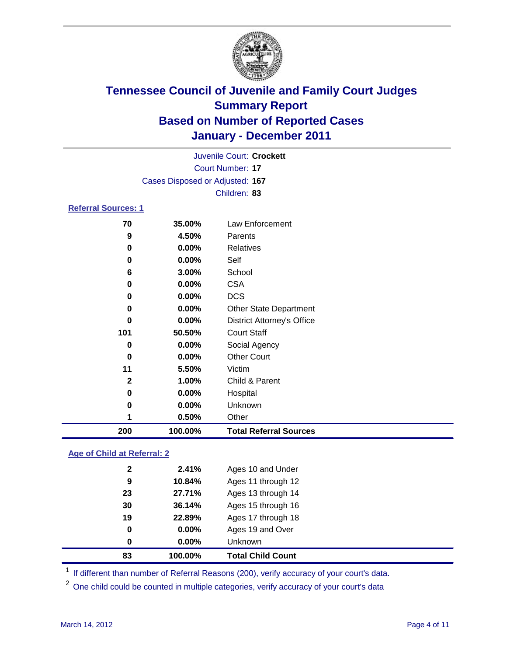

|                            |                                 | Juvenile Court: Crockett          |
|----------------------------|---------------------------------|-----------------------------------|
|                            |                                 | Court Number: 17                  |
|                            | Cases Disposed or Adjusted: 167 |                                   |
|                            |                                 | Children: 83                      |
| <b>Referral Sources: 1</b> |                                 |                                   |
| 70                         | 35.00%                          | Law Enforcement                   |
| 9                          | 4.50%                           | Parents                           |
| 0                          | $0.00\%$                        | <b>Relatives</b>                  |
| 0                          | 0.00%                           | Self                              |
| 6                          | 3.00%                           | School                            |
| 0                          | $0.00\%$                        | <b>CSA</b>                        |
| 0                          | $0.00\%$                        | <b>DCS</b>                        |
| 0                          | $0.00\%$                        | <b>Other State Department</b>     |
| 0                          | $0.00\%$                        | <b>District Attorney's Office</b> |
| 101                        | 50.50%                          | <b>Court Staff</b>                |
| 0                          | $0.00\%$                        | Social Agency                     |

| 200          | 100.00%  | <b>Total Referral Sources</b> |  |
|--------------|----------|-------------------------------|--|
| 1            | 0.50%    | Other                         |  |
| 0            | $0.00\%$ | <b>Unknown</b>                |  |
| $\bf{0}$     | 0.00%    | Hospital                      |  |
| $\mathbf{2}$ | 1.00%    | Child & Parent                |  |
| 11           | 5.50%    | Victim                        |  |
| $\mathbf 0$  | $0.00\%$ | <b>Other Court</b>            |  |
|              |          |                               |  |

### **Age of Child at Referral: 2**

| 83 | 100.00%  | <b>Total Child Count</b> |
|----|----------|--------------------------|
| 0  | 0.00%    | <b>Unknown</b>           |
| 0  | $0.00\%$ | Ages 19 and Over         |
| 19 | 22.89%   | Ages 17 through 18       |
| 30 | 36.14%   | Ages 15 through 16       |
| 23 | 27.71%   | Ages 13 through 14       |
| 9  | 10.84%   | Ages 11 through 12       |
| 2  | 2.41%    | Ages 10 and Under        |
|    |          |                          |

<sup>1</sup> If different than number of Referral Reasons (200), verify accuracy of your court's data.

<sup>2</sup> One child could be counted in multiple categories, verify accuracy of your court's data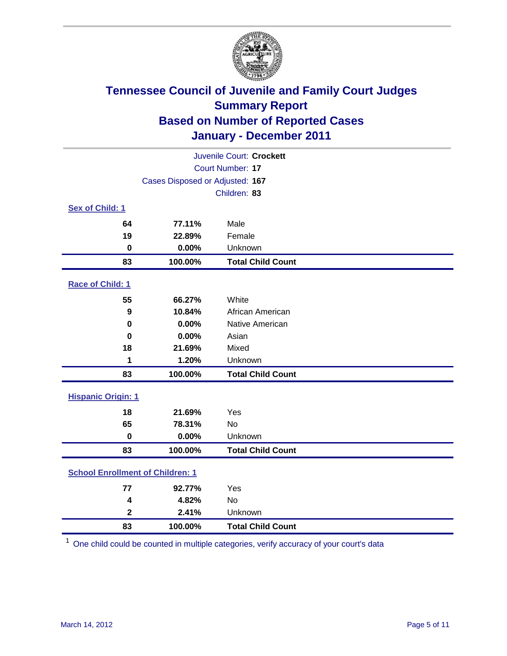

| Juvenile Court: Crockett  |                                         |                          |  |  |  |
|---------------------------|-----------------------------------------|--------------------------|--|--|--|
|                           | Court Number: 17                        |                          |  |  |  |
|                           | Cases Disposed or Adjusted: 167         |                          |  |  |  |
|                           |                                         | Children: 83             |  |  |  |
| Sex of Child: 1           |                                         |                          |  |  |  |
| 64                        | 77.11%                                  | Male                     |  |  |  |
| 19                        | 22.89%                                  | Female                   |  |  |  |
| $\mathbf 0$               | 0.00%                                   | Unknown                  |  |  |  |
| 83                        | 100.00%                                 | <b>Total Child Count</b> |  |  |  |
| Race of Child: 1          |                                         |                          |  |  |  |
| 55                        | 66.27%                                  | White                    |  |  |  |
| $\boldsymbol{9}$          | 10.84%                                  | African American         |  |  |  |
| 0                         | 0.00%                                   | Native American          |  |  |  |
| 0                         | 0.00%                                   | Asian                    |  |  |  |
| 18                        | 21.69%                                  | Mixed                    |  |  |  |
| 1                         | 1.20%                                   | Unknown                  |  |  |  |
| 83                        | 100.00%                                 | <b>Total Child Count</b> |  |  |  |
| <b>Hispanic Origin: 1</b> |                                         |                          |  |  |  |
| 18                        | 21.69%                                  | Yes                      |  |  |  |
| 65                        | 78.31%                                  | No                       |  |  |  |
| $\mathbf 0$               | 0.00%                                   | Unknown                  |  |  |  |
| 83                        | 100.00%                                 | <b>Total Child Count</b> |  |  |  |
|                           | <b>School Enrollment of Children: 1</b> |                          |  |  |  |
| 77                        | 92.77%                                  | Yes                      |  |  |  |
| 4                         | 4.82%                                   | <b>No</b>                |  |  |  |
| $\mathbf 2$               | 2.41%                                   | Unknown                  |  |  |  |
| 83                        | 100.00%                                 | <b>Total Child Count</b> |  |  |  |

One child could be counted in multiple categories, verify accuracy of your court's data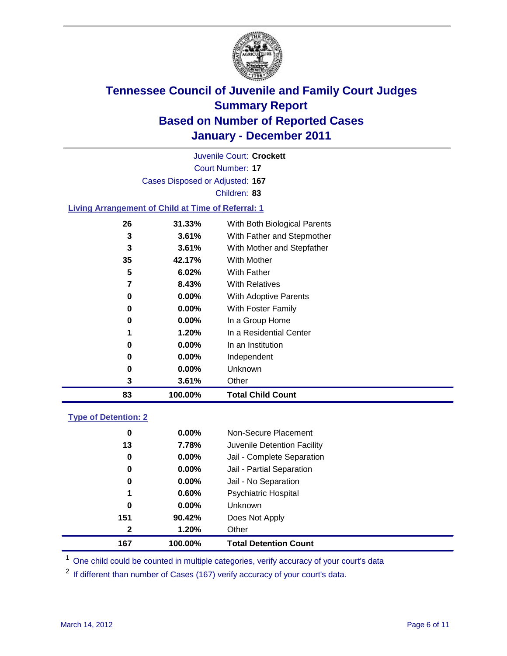

Court Number: **17** Juvenile Court: **Crockett** Cases Disposed or Adjusted: **167** Children: **83**

### **Living Arrangement of Child at Time of Referral: 1**

| 83 | 100.00%  | <b>Total Child Count</b>     |
|----|----------|------------------------------|
| 3  | 3.61%    | Other                        |
| 0  | $0.00\%$ | Unknown                      |
| 0  | $0.00\%$ | Independent                  |
| 0  | $0.00\%$ | In an Institution            |
| 1  | 1.20%    | In a Residential Center      |
| 0  | $0.00\%$ | In a Group Home              |
| 0  | $0.00\%$ | <b>With Foster Family</b>    |
| 0  | $0.00\%$ | <b>With Adoptive Parents</b> |
| 7  | 8.43%    | <b>With Relatives</b>        |
| 5  | 6.02%    | With Father                  |
| 35 | 42.17%   | With Mother                  |
| 3  | 3.61%    | With Mother and Stepfather   |
| 3  | 3.61%    | With Father and Stepmother   |
| 26 | 31.33%   | With Both Biological Parents |
|    |          |                              |

### **Type of Detention: 2**

| 167          | 100.00%  | <b>Total Detention Count</b> |  |
|--------------|----------|------------------------------|--|
| $\mathbf{2}$ | 1.20%    | Other                        |  |
| 151          | 90.42%   | Does Not Apply               |  |
| 0            | $0.00\%$ | Unknown                      |  |
| 1            | 0.60%    | Psychiatric Hospital         |  |
| 0            | 0.00%    | Jail - No Separation         |  |
| $\bf{0}$     | $0.00\%$ | Jail - Partial Separation    |  |
| $\bf{0}$     | $0.00\%$ | Jail - Complete Separation   |  |
| 13           | 7.78%    | Juvenile Detention Facility  |  |
| 0            | $0.00\%$ | Non-Secure Placement         |  |
|              |          |                              |  |

<sup>1</sup> One child could be counted in multiple categories, verify accuracy of your court's data

<sup>2</sup> If different than number of Cases (167) verify accuracy of your court's data.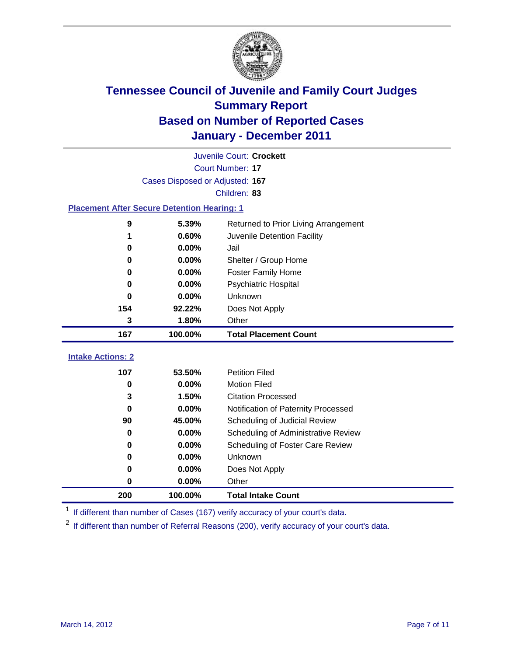

|                                                    | Juvenile Court: Crockett        |                                      |  |  |  |
|----------------------------------------------------|---------------------------------|--------------------------------------|--|--|--|
|                                                    | Court Number: 17                |                                      |  |  |  |
|                                                    | Cases Disposed or Adjusted: 167 |                                      |  |  |  |
|                                                    |                                 | Children: 83                         |  |  |  |
| <b>Placement After Secure Detention Hearing: 1</b> |                                 |                                      |  |  |  |
| 9                                                  | 5.39%                           | Returned to Prior Living Arrangement |  |  |  |
| 1                                                  | 0.60%                           | Juvenile Detention Facility          |  |  |  |
| 0                                                  | 0.00%                           | Jail                                 |  |  |  |
| 0                                                  | 0.00%                           | Shelter / Group Home                 |  |  |  |
| 0                                                  | 0.00%                           | <b>Foster Family Home</b>            |  |  |  |
| $\bf{0}$                                           | 0.00%                           | Psychiatric Hospital                 |  |  |  |
| 0                                                  | 0.00%                           | Unknown                              |  |  |  |
| 154                                                | 92.22%                          | Does Not Apply                       |  |  |  |
| 3                                                  | 1.80%                           | Other                                |  |  |  |
| 167                                                | 100.00%                         | <b>Total Placement Count</b>         |  |  |  |
| <b>Intake Actions: 2</b>                           |                                 |                                      |  |  |  |
| 107                                                | 53.50%                          | <b>Petition Filed</b>                |  |  |  |
| $\mathbf 0$                                        | 0.00%                           | <b>Motion Filed</b>                  |  |  |  |
| 3                                                  | 1.50%                           | <b>Citation Processed</b>            |  |  |  |
| 0                                                  |                                 |                                      |  |  |  |
|                                                    | 0.00%                           | Notification of Paternity Processed  |  |  |  |
| 90                                                 | 45.00%                          | Scheduling of Judicial Review        |  |  |  |
| 0                                                  | 0.00%                           | Scheduling of Administrative Review  |  |  |  |
| 0                                                  | 0.00%                           | Scheduling of Foster Care Review     |  |  |  |
| $\bf{0}$                                           | 0.00%                           | Unknown                              |  |  |  |
| 0                                                  | 0.00%                           | Does Not Apply                       |  |  |  |
| 0                                                  | 0.00%                           | Other                                |  |  |  |

<sup>1</sup> If different than number of Cases (167) verify accuracy of your court's data.

<sup>2</sup> If different than number of Referral Reasons (200), verify accuracy of your court's data.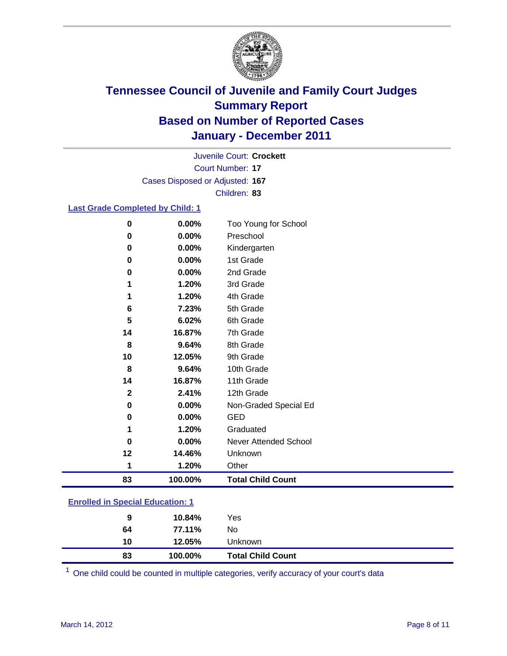

Court Number: **17** Juvenile Court: **Crockett** Cases Disposed or Adjusted: **167** Children: **83**

### **Last Grade Completed by Child: 1**

| 0        | 0.00%                                   | Too Young for School         |  |
|----------|-----------------------------------------|------------------------------|--|
| 0        | 0.00%                                   | Preschool                    |  |
| 0        | 0.00%                                   | Kindergarten                 |  |
| 0        | 0.00%                                   | 1st Grade                    |  |
| 0        | 0.00%                                   | 2nd Grade                    |  |
| 1        | 1.20%                                   | 3rd Grade                    |  |
| 1        | 1.20%                                   | 4th Grade                    |  |
| 6        | 7.23%                                   | 5th Grade                    |  |
| 5        | 6.02%                                   | 6th Grade                    |  |
| 14       | 16.87%                                  | 7th Grade                    |  |
| 8        | 9.64%                                   | 8th Grade                    |  |
| 10       | 12.05%                                  | 9th Grade                    |  |
| 8        | 9.64%                                   | 10th Grade                   |  |
| 14       | 16.87%                                  | 11th Grade                   |  |
| 2        | 2.41%                                   | 12th Grade                   |  |
| $\bf{0}$ | 0.00%                                   | Non-Graded Special Ed        |  |
| 0        | 0.00%                                   | <b>GED</b>                   |  |
| 1        | 1.20%                                   | Graduated                    |  |
| 0        | 0.00%                                   | <b>Never Attended School</b> |  |
| 12       | 14.46%                                  | Unknown                      |  |
| 1        | 1.20%                                   | Other                        |  |
| 83       | 100.00%                                 | <b>Total Child Count</b>     |  |
|          | <b>Enrolled in Special Education: 1</b> |                              |  |

| 83 | 100.00% | <b>Total Child Count</b> |
|----|---------|--------------------------|
| 10 | 12.05%  | Unknown                  |
| 64 | 77.11%  | No                       |
| 9  | 10.84%  | Yes                      |
|    |         |                          |

One child could be counted in multiple categories, verify accuracy of your court's data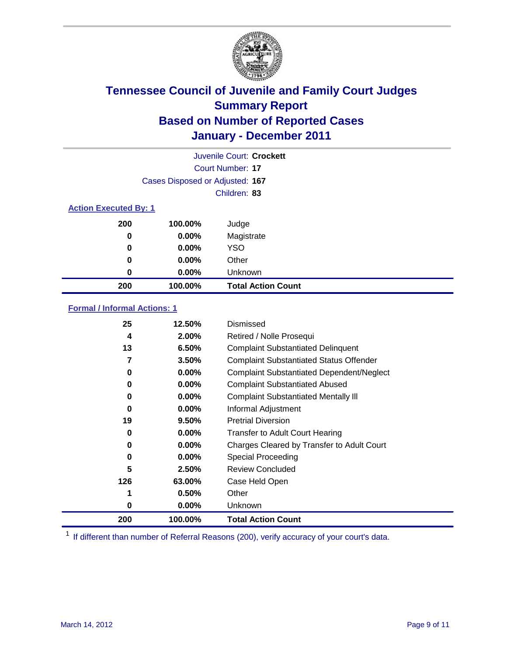

|                              |                                 | Juvenile Court: Crockett  |
|------------------------------|---------------------------------|---------------------------|
|                              |                                 | Court Number: 17          |
|                              | Cases Disposed or Adjusted: 167 |                           |
|                              |                                 | Children: 83              |
| <b>Action Executed By: 1</b> |                                 |                           |
| 200                          | 100.00%                         | Judge                     |
| 0                            | $0.00\%$                        | Magistrate                |
| $\bf{0}$                     | $0.00\%$                        | <b>YSO</b>                |
| 0                            | $0.00\%$                        | Other                     |
| 0                            | 0.00%                           | Unknown                   |
| 200                          | 100.00%                         | <b>Total Action Count</b> |

### **Formal / Informal Actions: 1**

| 25  | 12.50%   | Dismissed                                        |
|-----|----------|--------------------------------------------------|
| 4   | 2.00%    | Retired / Nolle Prosequi                         |
| 13  | 6.50%    | <b>Complaint Substantiated Delinquent</b>        |
| 7   | 3.50%    | <b>Complaint Substantiated Status Offender</b>   |
| 0   | $0.00\%$ | <b>Complaint Substantiated Dependent/Neglect</b> |
| 0   | $0.00\%$ | <b>Complaint Substantiated Abused</b>            |
| 0   | $0.00\%$ | <b>Complaint Substantiated Mentally III</b>      |
| 0   | $0.00\%$ | Informal Adjustment                              |
| 19  | 9.50%    | <b>Pretrial Diversion</b>                        |
| 0   | $0.00\%$ | <b>Transfer to Adult Court Hearing</b>           |
| 0   | $0.00\%$ | Charges Cleared by Transfer to Adult Court       |
| 0   | $0.00\%$ | Special Proceeding                               |
| 5   | 2.50%    | <b>Review Concluded</b>                          |
| 126 | 63.00%   | Case Held Open                                   |
|     | 0.50%    | Other                                            |
| 0   | $0.00\%$ | <b>Unknown</b>                                   |
| 200 | 100.00%  | <b>Total Action Count</b>                        |

<sup>1</sup> If different than number of Referral Reasons (200), verify accuracy of your court's data.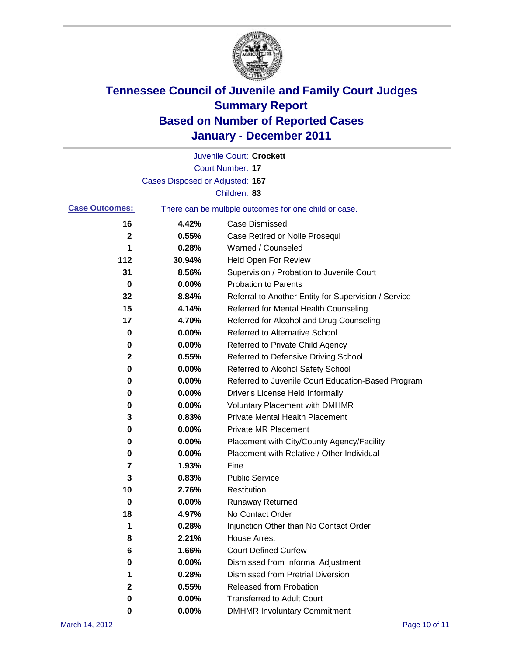

|                       |                                 | Juvenile Court: Crockett                              |
|-----------------------|---------------------------------|-------------------------------------------------------|
|                       |                                 | Court Number: 17                                      |
|                       | Cases Disposed or Adjusted: 167 |                                                       |
|                       |                                 | Children: 83                                          |
| <b>Case Outcomes:</b> |                                 | There can be multiple outcomes for one child or case. |
| 16                    | 4.42%                           | <b>Case Dismissed</b>                                 |
| 2                     | 0.55%                           | Case Retired or Nolle Prosequi                        |
| 1                     | 0.28%                           | Warned / Counseled                                    |
| 112                   | 30.94%                          | Held Open For Review                                  |
| 31                    | 8.56%                           | Supervision / Probation to Juvenile Court             |
| 0                     | 0.00%                           | <b>Probation to Parents</b>                           |
| 32                    | 8.84%                           | Referral to Another Entity for Supervision / Service  |
| 15                    | 4.14%                           | Referred for Mental Health Counseling                 |
| 17                    | 4.70%                           | Referred for Alcohol and Drug Counseling              |
| 0                     | 0.00%                           | Referred to Alternative School                        |
| 0                     | 0.00%                           | Referred to Private Child Agency                      |
| 2                     | 0.55%                           | Referred to Defensive Driving School                  |
| 0                     | 0.00%                           | Referred to Alcohol Safety School                     |
| 0                     | 0.00%                           | Referred to Juvenile Court Education-Based Program    |
| 0                     | 0.00%                           | Driver's License Held Informally                      |
| 0                     | 0.00%                           | <b>Voluntary Placement with DMHMR</b>                 |
| 3                     | 0.83%                           | <b>Private Mental Health Placement</b>                |
| 0                     | 0.00%                           | <b>Private MR Placement</b>                           |
| 0                     | 0.00%                           | Placement with City/County Agency/Facility            |
| 0                     | 0.00%                           | Placement with Relative / Other Individual            |
| 7                     | 1.93%                           | Fine                                                  |
| 3                     | 0.83%                           | <b>Public Service</b>                                 |
| 10                    | 2.76%                           | Restitution                                           |
| 0                     | 0.00%                           | Runaway Returned                                      |
| 18                    | 4.97%                           | No Contact Order                                      |
| 1                     | 0.28%                           | Injunction Other than No Contact Order                |
| 8                     | 2.21%                           | <b>House Arrest</b>                                   |
| 6                     | 1.66%                           | <b>Court Defined Curfew</b>                           |
| 0                     | 0.00%                           | Dismissed from Informal Adjustment                    |
| 1                     | 0.28%                           | <b>Dismissed from Pretrial Diversion</b>              |
| 2                     | 0.55%                           | Released from Probation                               |
| 0                     | 0.00%                           | <b>Transferred to Adult Court</b>                     |
| 0                     | 0.00%                           | <b>DMHMR Involuntary Commitment</b>                   |